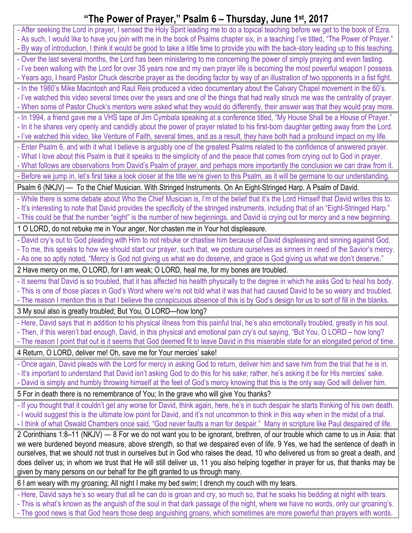## **"The Power of Prayer, " Psalm 6 – Thursday, June 1st, 2017**

| - After seeking the Lord in prayer, I sensed the Holy Spirit leading me to do a topical teaching before we get to the book of Ezra.<br>- As such, I would like to have you join with me in the book of Psalms chapter six, in a teaching I've titled, "The Power of Prayer." |
|------------------------------------------------------------------------------------------------------------------------------------------------------------------------------------------------------------------------------------------------------------------------------|
| - By way of introduction, I think it would be good to take a little time to provide you with the back-story leading up to this teaching.                                                                                                                                     |
| - Over the last several months, the Lord has been ministering to me concerning the power of simply praying and even fasting.<br>- I've been walking with the Lord for over 35 years now and my own prayer life is becoming the most powerful weapon I possess.               |
| - Years ago, I heard Pastor Chuck describe prayer as the deciding factor by way of an illustration of two opponents in a fist fight.                                                                                                                                         |
| - In the 1980's Mike Macintosh and Raul Reis produced a video documentary about the Calvary Chapel movement in the 60's.                                                                                                                                                     |
| - I've watched this video several times over the years and one of the things that had really struck me was the centrality of prayer.                                                                                                                                         |
| - When some of Pastor Chuck's mentors were asked what they would do differently, their answer was that they would pray more.                                                                                                                                                 |
| - In 1994, a friend gave me a VHS tape of Jim Cymbala speaking at a conference titled, "My House Shall be a House of Prayer."                                                                                                                                                |
| - In it he shares very openly and candidly about the power of prayer related to his first-born daughter getting away from the Lord.                                                                                                                                          |
| - I've watched this video, like Venture of Faith, several times, and as a result, they have both had a profound impact on my life.                                                                                                                                           |
| - Enter Psalm 6, and with it what I believe is arguably one of the greatest Psalms related to the confidence of answered prayer.                                                                                                                                             |
| - What I love about this Psalm is that it speaks to the simplicity of and the peace that comes from crying out to God in prayer.                                                                                                                                             |
| - What follows are observations from David's Psalm of prayer, and perhaps more importantly the conclusion we can draw from it.                                                                                                                                               |
| - Before we jump in, let's first take a look closer at the title we're given to this Psalm, as it will be germane to our understanding.                                                                                                                                      |
| Psalm 6 (NKJV) — To the Chief Musician. With Stringed Instruments. On An Eight-Stringed Harp. A Psalm of David.                                                                                                                                                              |
| - While there is some debate about Who the Chief Musician is, I'm of the belief that it's the Lord Himself that David writes this to.                                                                                                                                        |
| - It's interesting to note that David provides the specificity of the stringed instruments, including that of an "Eight-Stringed Harp."                                                                                                                                      |
| - This could be that the number "eight" is the number of new beginnings, and David is crying out for mercy and a new beginning.                                                                                                                                              |
| 1 O LORD, do not rebuke me in Your anger, Nor chasten me in Your hot displeasure.                                                                                                                                                                                            |
| - David cry's out to God pleading with Him to not rebuke or chastise him because of David displeasing and sinning against God.                                                                                                                                               |
| - To me, this speaks to how we should start our prayer, such that, we posture ourselves as sinners in need of the Savior's mercy.                                                                                                                                            |
| - As one so aptly noted, "Mercy is God not giving us what we do deserve, and grace is God giving us what we don't deserve."                                                                                                                                                  |
| 2 Have mercy on me, O LORD, for I am weak; O LORD, heal me, for my bones are troubled.                                                                                                                                                                                       |
| - It seems that David is so troubled, that it has affected his health physically to the degree in which he asks God to heal his body.                                                                                                                                        |
| - This is one of those places in God's Word where we're not told what it was that had caused David to be so weary and troubled.                                                                                                                                              |
| - The reason I mention this is that I believe the conspicuous absence of this is by God's design for us to sort of fill in the blanks.                                                                                                                                       |
| 3 My soul also is greatly troubled; But You, O LORD-how long?                                                                                                                                                                                                                |
| - Here, David says that in addition to his physical illness from this painful trial, he's also emotionally troubled, greatly in his soul.                                                                                                                                    |
| - Then, if this weren't bad enough, David, in this physical and emotional pain cry's out saying, "But You, O LORD – how long?                                                                                                                                                |
| - The reason I point that out is it seems that God deemed fit to leave David in this miserable state for an elongated period of time.                                                                                                                                        |
| 4 Return, O LORD, deliver me! Oh, save me for Your mercies' sake!                                                                                                                                                                                                            |
| - Once again, David pleads with the Lord for mercy in asking God to return, deliver him and save him from the trial that he is in.                                                                                                                                           |
| - It's important to understand that David isn't asking God to do this for his sake; rather, he's asking it be for His mercies' sake.                                                                                                                                         |
| - David is simply and humbly throwing himself at the feet of God's mercy knowing that this is the only way God will deliver him.                                                                                                                                             |
| 5 For in death there is no remembrance of You; In the grave who will give You thanks?                                                                                                                                                                                        |
| - If you thought that it couldn't get any worse for David, think again, here, he's in such despair he starts thinking of his own death.                                                                                                                                      |
| - I would suggest this is the ultimate low point for David, and it's not uncommon to think in this way when in the midst of a trial.                                                                                                                                         |
| - I think of what Oswald Chambers once said, "God never faults a man for despair." Many in scripture like Paul despaired of life.                                                                                                                                            |
| 2 Corinthians 1:8-11 (NKJV) - 8 For we do not want you to be ignorant, brethren, of our trouble which came to us in Asia: that                                                                                                                                               |
| we were burdened beyond measure, above strength, so that we despaired even of life. 9 Yes, we had the sentence of death in                                                                                                                                                   |
| ourselves, that we should not trust in ourselves but in God who raises the dead, 10 who delivered us from so great a death, and                                                                                                                                              |
| does deliver us; in whom we trust that He will still deliver us, 11 you also helping together in prayer for us, that thanks may be                                                                                                                                           |
| given by many persons on our behalf for the gift granted to us through many.                                                                                                                                                                                                 |
| 6 I am weary with my groaning; All night I make my bed swim; I drench my couch with my tears.                                                                                                                                                                                |
| - Here, David says he's so weary that all he can do is groan and cry, so much so, that he soaks his bedding at night with tears.                                                                                                                                             |
| - This is what's known as the anguish of the soul in that dark passage of the night, where we have no words, only our groaning's.                                                                                                                                            |
| - The good news is that God hears those deep anguishing groans, which sometimes are more powerful than prayers with words.                                                                                                                                                   |